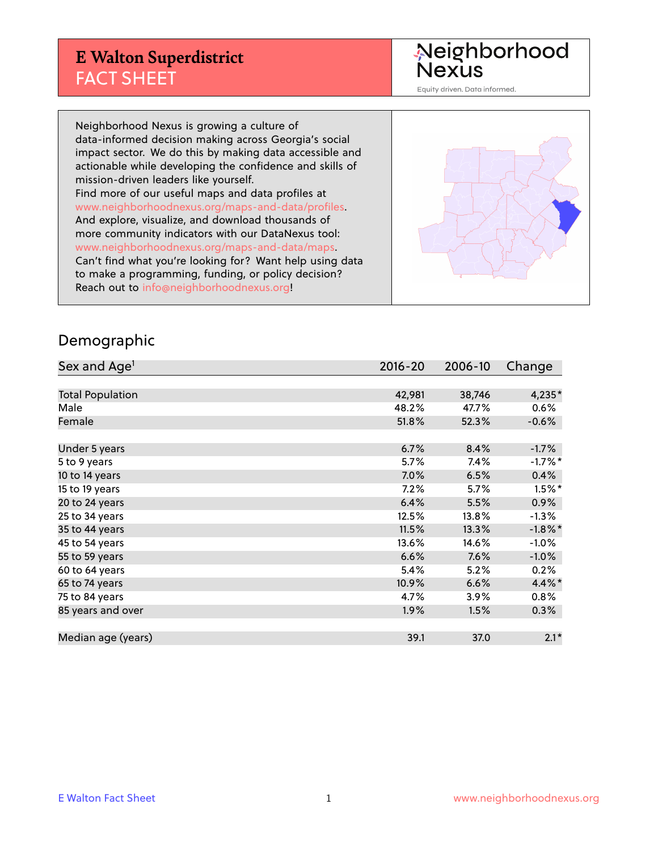# **E Walton Superdistrict** FACT SHEET

Neighborhood<br>Nexus

Equity driven. Data informed.

Neighborhood Nexus is growing a culture of data-informed decision making across Georgia's social impact sector. We do this by making data accessible and actionable while developing the confidence and skills of mission-driven leaders like yourself. Find more of our useful maps and data profiles at www.neighborhoodnexus.org/maps-and-data/profiles. And explore, visualize, and download thousands of more community indicators with our DataNexus tool: www.neighborhoodnexus.org/maps-and-data/maps. Can't find what you're looking for? Want help using data to make a programming, funding, or policy decision? Reach out to [info@neighborhoodnexus.org!](mailto:info@neighborhoodnexus.org)



#### Demographic

| Sex and Age <sup>1</sup> | $2016 - 20$ | 2006-10 | Change     |
|--------------------------|-------------|---------|------------|
|                          |             |         |            |
| <b>Total Population</b>  | 42,981      | 38,746  | 4,235*     |
| Male                     | 48.2%       | 47.7%   | 0.6%       |
| Female                   | 51.8%       | 52.3%   | $-0.6%$    |
|                          |             |         |            |
| Under 5 years            | 6.7%        | 8.4%    | $-1.7%$    |
| 5 to 9 years             | 5.7%        | 7.4%    | $-1.7%$ *  |
| 10 to 14 years           | $7.0\%$     | 6.5%    | 0.4%       |
| 15 to 19 years           | 7.2%        | 5.7%    | $1.5\%$ *  |
| 20 to 24 years           | 6.4%        | 5.5%    | 0.9%       |
| 25 to 34 years           | 12.5%       | 13.8%   | $-1.3\%$   |
| 35 to 44 years           | 11.5%       | 13.3%   | $-1.8\%$ * |
| 45 to 54 years           | 13.6%       | 14.6%   | $-1.0%$    |
| 55 to 59 years           | 6.6%        | 7.6%    | $-1.0%$    |
| 60 to 64 years           | 5.4%        | 5.2%    | 0.2%       |
| 65 to 74 years           | 10.9%       | 6.6%    | 4.4%*      |
| 75 to 84 years           | 4.7%        | 3.9%    | $0.8\%$    |
| 85 years and over        | 1.9%        | 1.5%    | $0.3\%$    |
|                          |             |         |            |
| Median age (years)       | 39.1        | 37.0    | $2.1*$     |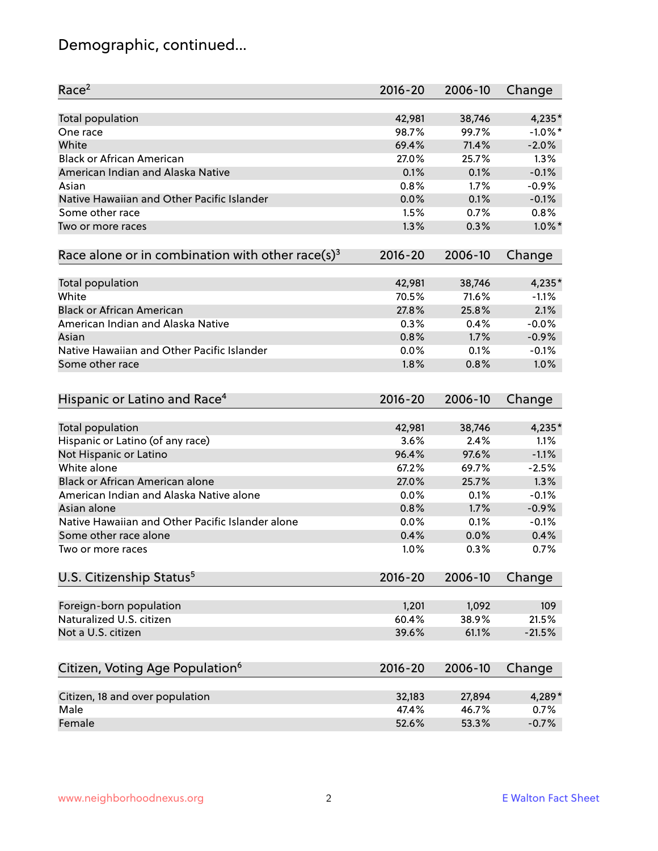# Demographic, continued...

| Race <sup>2</sup>                                            | $2016 - 20$ | 2006-10 | Change     |
|--------------------------------------------------------------|-------------|---------|------------|
| <b>Total population</b>                                      | 42,981      | 38,746  | 4,235*     |
| One race                                                     | 98.7%       | 99.7%   | $-1.0\%$ * |
| White                                                        | 69.4%       | 71.4%   | $-2.0%$    |
| <b>Black or African American</b>                             | 27.0%       | 25.7%   | 1.3%       |
| American Indian and Alaska Native                            | 0.1%        | 0.1%    | $-0.1%$    |
| Asian                                                        | 0.8%        | 1.7%    | $-0.9%$    |
| Native Hawaiian and Other Pacific Islander                   | 0.0%        | 0.1%    | $-0.1%$    |
| Some other race                                              | 1.5%        | 0.7%    | 0.8%       |
| Two or more races                                            | 1.3%        | 0.3%    | $1.0\%$ *  |
| Race alone or in combination with other race(s) <sup>3</sup> | $2016 - 20$ | 2006-10 | Change     |
|                                                              |             |         |            |
| Total population                                             | 42,981      | 38,746  | $4,235*$   |
| White                                                        | 70.5%       | 71.6%   | $-1.1%$    |
| <b>Black or African American</b>                             | 27.8%       | 25.8%   | 2.1%       |
| American Indian and Alaska Native                            | 0.3%        | 0.4%    | $-0.0%$    |
| Asian                                                        | 0.8%        | 1.7%    | $-0.9%$    |
| Native Hawaiian and Other Pacific Islander                   | 0.0%        | 0.1%    | $-0.1%$    |
| Some other race                                              | 1.8%        | 0.8%    | 1.0%       |
| Hispanic or Latino and Race <sup>4</sup>                     | $2016 - 20$ | 2006-10 | Change     |
|                                                              |             |         |            |
| <b>Total population</b>                                      | 42,981      | 38,746  | 4,235*     |
| Hispanic or Latino (of any race)                             | 3.6%        | 2.4%    | 1.1%       |
| Not Hispanic or Latino                                       | 96.4%       | 97.6%   | $-1.1%$    |
| White alone                                                  | 67.2%       | 69.7%   | $-2.5%$    |
| Black or African American alone                              | 27.0%       | 25.7%   | 1.3%       |
| American Indian and Alaska Native alone                      | 0.0%        | 0.1%    | $-0.1%$    |
| Asian alone                                                  | 0.8%        | 1.7%    | $-0.9%$    |
| Native Hawaiian and Other Pacific Islander alone             | 0.0%        | 0.1%    | $-0.1%$    |
| Some other race alone                                        | 0.4%        | 0.0%    | 0.4%       |
| Two or more races                                            | 1.0%        | 0.3%    | 0.7%       |
| U.S. Citizenship Status <sup>5</sup>                         | $2016 - 20$ | 2006-10 | Change     |
|                                                              |             |         |            |
| Foreign-born population                                      | 1,201       | 1,092   | 109        |
| Naturalized U.S. citizen                                     | 60.4%       | 38.9%   | 21.5%      |
| Not a U.S. citizen                                           | 39.6%       | 61.1%   | $-21.5%$   |
| Citizen, Voting Age Population <sup>6</sup>                  | $2016 - 20$ | 2006-10 | Change     |
|                                                              |             |         |            |
| Citizen, 18 and over population                              | 32,183      | 27,894  | 4,289*     |
| Male                                                         | 47.4%       | 46.7%   | 0.7%       |
| Female                                                       | 52.6%       | 53.3%   | $-0.7%$    |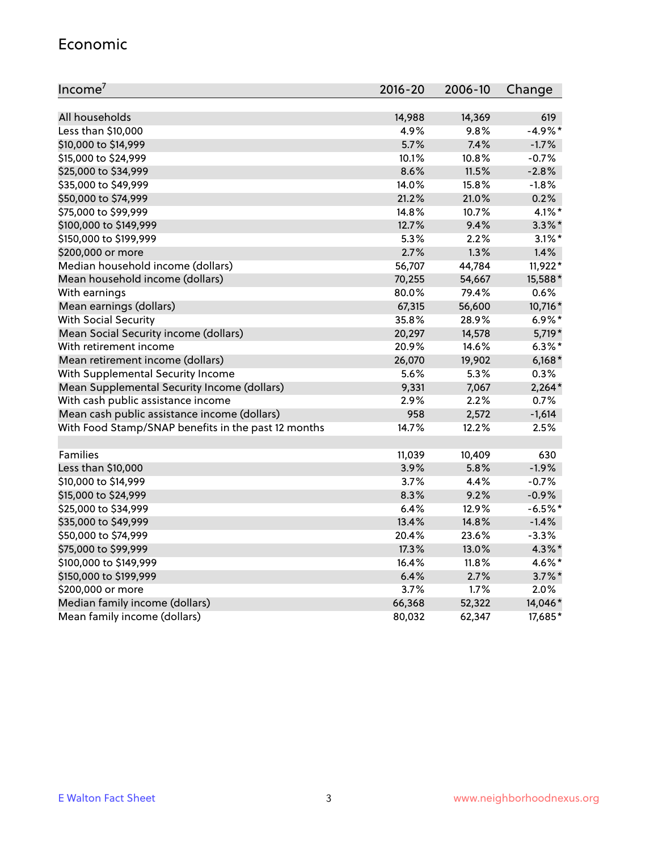#### Economic

| Income <sup>7</sup>                                 | $2016 - 20$ | 2006-10  | Change    |
|-----------------------------------------------------|-------------|----------|-----------|
|                                                     |             |          |           |
| All households                                      | 14,988      | 14,369   | 619       |
| Less than \$10,000                                  | 4.9%        | 9.8%     | $-4.9%$ * |
| \$10,000 to \$14,999                                | 5.7%        | 7.4%     | $-1.7%$   |
| \$15,000 to \$24,999                                | 10.1%       | 10.8%    | $-0.7%$   |
| \$25,000 to \$34,999                                | 8.6%        | 11.5%    | $-2.8%$   |
| \$35,000 to \$49,999                                | 14.0%       | 15.8%    | $-1.8%$   |
| \$50,000 to \$74,999                                | 21.2%       | 21.0%    | 0.2%      |
| \$75,000 to \$99,999                                | 14.8%       | 10.7%    | $4.1\%$ * |
| \$100,000 to \$149,999                              | 12.7%       | 9.4%     | $3.3\%$ * |
| \$150,000 to \$199,999                              | 5.3%        | 2.2%     | $3.1\%$ * |
| \$200,000 or more                                   | 2.7%        | 1.3%     | 1.4%      |
| Median household income (dollars)                   | 56,707      | 44,784   | 11,922*   |
| Mean household income (dollars)                     | 70,255      | 54,667   | 15,588*   |
| With earnings                                       | 80.0%       | 79.4%    | 0.6%      |
| Mean earnings (dollars)                             | 67,315      | 56,600   | 10,716*   |
| <b>With Social Security</b>                         | 35.8%       | 28.9%    | $6.9\%*$  |
| Mean Social Security income (dollars)               | 20,297      | 14,578   | 5,719*    |
| With retirement income                              | 20.9%       | 14.6%    | $6.3\%$ * |
| Mean retirement income (dollars)                    | 26,070      | 19,902   | $6,168*$  |
| With Supplemental Security Income                   | 5.6%        | 5.3%     | 0.3%      |
| Mean Supplemental Security Income (dollars)         | 9,331       | 7,067    | $2,264*$  |
| With cash public assistance income                  | 2.9%        | 2.2%     | 0.7%      |
| Mean cash public assistance income (dollars)        | 958         | 2,572    | $-1,614$  |
| With Food Stamp/SNAP benefits in the past 12 months | 14.7%       | 12.2%    | 2.5%      |
|                                                     |             |          |           |
| Families                                            | 11,039      | 10,409   | 630       |
| Less than \$10,000                                  | 3.9%        | 5.8%     | $-1.9%$   |
| \$10,000 to \$14,999                                | 3.7%        | 4.4%     | $-0.7%$   |
| \$15,000 to \$24,999                                | 8.3%        | 9.2%     | $-0.9%$   |
| \$25,000 to \$34,999                                | 6.4%        | 12.9%    | $-6.5%$ * |
| \$35,000 to \$49,999                                | 13.4%       | 14.8%    | $-1.4%$   |
| \$50,000 to \$74,999                                | 20.4%       | 23.6%    | $-3.3%$   |
| \$75,000 to \$99,999                                | 17.3%       | 13.0%    | $4.3\%$ * |
| \$100,000 to \$149,999                              | 16.4%       | $11.8\%$ | 4.6%*     |
| \$150,000 to \$199,999                              | 6.4%        | 2.7%     | $3.7\%$ * |
| \$200,000 or more                                   | 3.7%        | 1.7%     | 2.0%      |
| Median family income (dollars)                      | 66,368      | 52,322   | 14,046*   |
| Mean family income (dollars)                        | 80,032      | 62,347   | 17,685*   |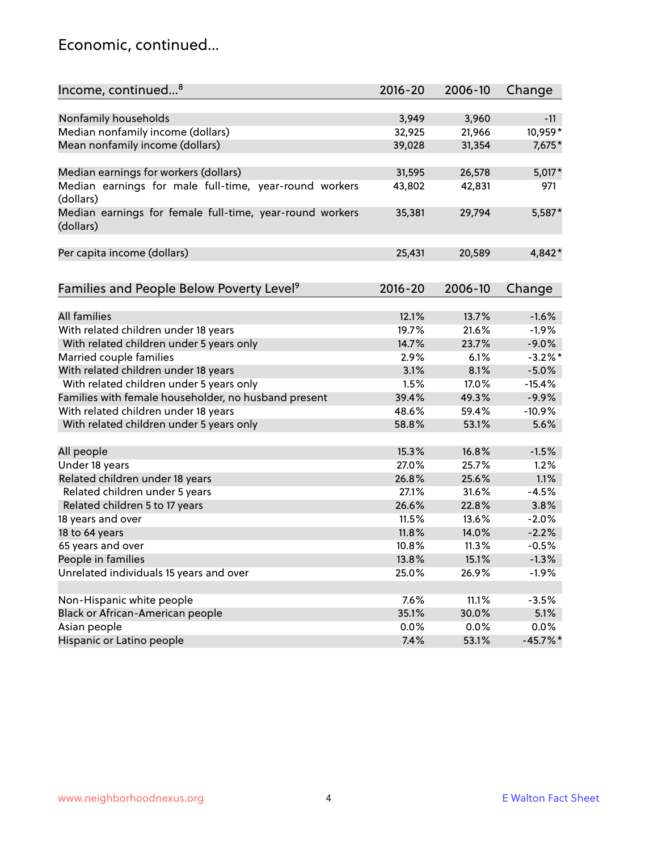### Economic, continued...

| Income, continued <sup>8</sup>                                        | $2016 - 20$ | 2006-10 | Change      |
|-----------------------------------------------------------------------|-------------|---------|-------------|
|                                                                       |             |         |             |
| Nonfamily households                                                  | 3,949       | 3,960   | $-11$       |
| Median nonfamily income (dollars)                                     | 32,925      | 21,966  | 10,959*     |
| Mean nonfamily income (dollars)                                       | 39,028      | 31,354  | 7,675*      |
| Median earnings for workers (dollars)                                 | 31,595      | 26,578  | $5,017*$    |
| Median earnings for male full-time, year-round workers<br>(dollars)   | 43,802      | 42,831  | 971         |
| Median earnings for female full-time, year-round workers<br>(dollars) | 35,381      | 29,794  | 5,587*      |
| Per capita income (dollars)                                           | 25,431      | 20,589  | 4,842*      |
| Families and People Below Poverty Level <sup>9</sup>                  | 2016-20     | 2006-10 | Change      |
|                                                                       |             |         |             |
| <b>All families</b>                                                   | 12.1%       | 13.7%   | $-1.6%$     |
| With related children under 18 years                                  | 19.7%       | 21.6%   | $-1.9%$     |
| With related children under 5 years only                              | 14.7%       | 23.7%   | $-9.0%$     |
| Married couple families                                               | 2.9%        | 6.1%    | $-3.2\%$ *  |
| With related children under 18 years                                  | 3.1%        | 8.1%    | $-5.0%$     |
| With related children under 5 years only                              | 1.5%        | 17.0%   | $-15.4%$    |
| Families with female householder, no husband present                  | 39.4%       | 49.3%   | $-9.9%$     |
| With related children under 18 years                                  | 48.6%       | 59.4%   | $-10.9%$    |
| With related children under 5 years only                              | 58.8%       | 53.1%   | 5.6%        |
| All people                                                            | 15.3%       | 16.8%   | $-1.5%$     |
| Under 18 years                                                        | 27.0%       | 25.7%   | 1.2%        |
| Related children under 18 years                                       | 26.8%       | 25.6%   | 1.1%        |
| Related children under 5 years                                        | 27.1%       | 31.6%   | $-4.5%$     |
| Related children 5 to 17 years                                        | 26.6%       | 22.8%   | 3.8%        |
| 18 years and over                                                     | 11.5%       | 13.6%   | $-2.0%$     |
| 18 to 64 years                                                        | 11.8%       | 14.0%   | $-2.2%$     |
| 65 years and over                                                     | 10.8%       | 11.3%   | $-0.5%$     |
| People in families                                                    | 13.8%       | 15.1%   | $-1.3%$     |
| Unrelated individuals 15 years and over                               | 25.0%       | 26.9%   | $-1.9%$     |
|                                                                       |             |         |             |
| Non-Hispanic white people                                             | 7.6%        | 11.1%   | $-3.5%$     |
| Black or African-American people                                      | 35.1%       | 30.0%   | 5.1%        |
| Asian people                                                          | $0.0\%$     | 0.0%    | 0.0%        |
| Hispanic or Latino people                                             | 7.4%        | 53.1%   | $-45.7\%$ * |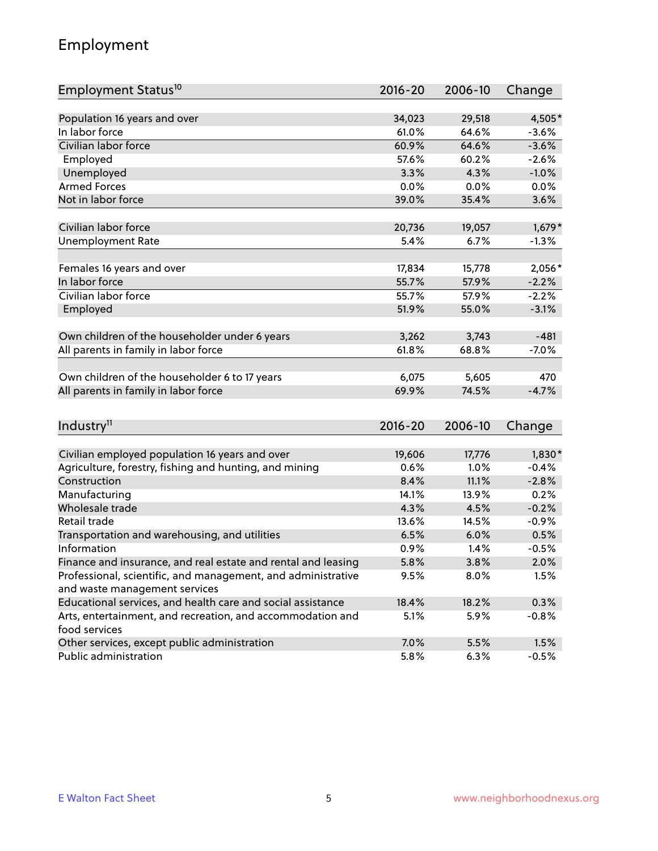# Employment

| Employment Status <sup>10</sup>                                                               | $2016 - 20$ | 2006-10 | Change   |
|-----------------------------------------------------------------------------------------------|-------------|---------|----------|
|                                                                                               |             |         |          |
| Population 16 years and over                                                                  | 34,023      | 29,518  | 4,505*   |
| In labor force                                                                                | 61.0%       | 64.6%   | $-3.6%$  |
| Civilian labor force                                                                          | 60.9%       | 64.6%   | $-3.6%$  |
| Employed                                                                                      | 57.6%       | 60.2%   | $-2.6%$  |
| Unemployed                                                                                    | 3.3%        | 4.3%    | $-1.0%$  |
| <b>Armed Forces</b>                                                                           | 0.0%        | 0.0%    | 0.0%     |
| Not in labor force                                                                            | 39.0%       | 35.4%   | 3.6%     |
|                                                                                               |             |         |          |
| Civilian labor force                                                                          | 20,736      | 19,057  | $1,679*$ |
| <b>Unemployment Rate</b>                                                                      | 5.4%        | 6.7%    | $-1.3%$  |
| Females 16 years and over                                                                     | 17,834      | 15,778  | $2,056*$ |
| In labor force                                                                                | 55.7%       | 57.9%   | $-2.2%$  |
| Civilian labor force                                                                          | 55.7%       | 57.9%   | $-2.2%$  |
| Employed                                                                                      | 51.9%       | 55.0%   | $-3.1%$  |
|                                                                                               |             |         |          |
| Own children of the householder under 6 years                                                 | 3,262       | 3,743   | $-481$   |
| All parents in family in labor force                                                          | 61.8%       | 68.8%   | $-7.0%$  |
|                                                                                               |             |         |          |
| Own children of the householder 6 to 17 years                                                 | 6,075       | 5,605   | 470      |
| All parents in family in labor force                                                          | 69.9%       | 74.5%   | $-4.7%$  |
|                                                                                               |             |         |          |
| Industry <sup>11</sup>                                                                        | $2016 - 20$ | 2006-10 | Change   |
|                                                                                               |             |         |          |
| Civilian employed population 16 years and over                                                | 19,606      | 17,776  | $1,830*$ |
| Agriculture, forestry, fishing and hunting, and mining                                        | 0.6%        | 1.0%    | $-0.4%$  |
| Construction                                                                                  | 8.4%        | 11.1%   | $-2.8%$  |
| Manufacturing                                                                                 | 14.1%       | 13.9%   | 0.2%     |
| Wholesale trade                                                                               | 4.3%        | 4.5%    | $-0.2%$  |
| Retail trade                                                                                  | 13.6%       | 14.5%   | $-0.9%$  |
| Transportation and warehousing, and utilities                                                 | 6.5%        | 6.0%    | 0.5%     |
| Information                                                                                   | 0.9%        | 1.4%    | $-0.5%$  |
| Finance and insurance, and real estate and rental and leasing                                 | 5.8%        | 3.8%    | 2.0%     |
| Professional, scientific, and management, and administrative<br>and waste management services | 9.5%        | 8.0%    | 1.5%     |
| Educational services, and health care and social assistance                                   | 18.4%       | 18.2%   | 0.3%     |
| Arts, entertainment, and recreation, and accommodation and                                    | 5.1%        | 5.9%    | $-0.8%$  |
| food services                                                                                 |             |         |          |
| Other services, except public administration                                                  | 7.0%        | 5.5%    | 1.5%     |
| Public administration                                                                         | 5.8%        | 6.3%    | $-0.5%$  |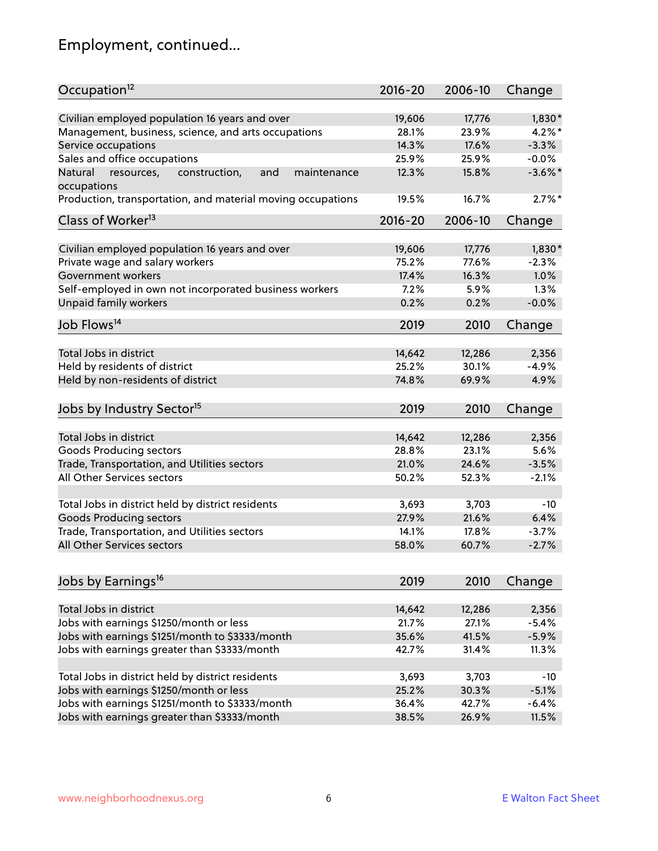# Employment, continued...

| Occupation <sup>12</sup>                                                    | $2016 - 20$ | 2006-10 | Change     |
|-----------------------------------------------------------------------------|-------------|---------|------------|
| Civilian employed population 16 years and over                              | 19,606      | 17,776  | $1,830*$   |
| Management, business, science, and arts occupations                         | 28.1%       | 23.9%   | $4.2\%$ *  |
| Service occupations                                                         | 14.3%       | 17.6%   | $-3.3%$    |
| Sales and office occupations                                                | 25.9%       | 25.9%   | $-0.0%$    |
|                                                                             |             |         | $-3.6\%$ * |
| Natural<br>and<br>resources,<br>construction,<br>maintenance<br>occupations | 12.3%       | 15.8%   |            |
| Production, transportation, and material moving occupations                 | 19.5%       | 16.7%   | $2.7\%$ *  |
| Class of Worker <sup>13</sup>                                               | $2016 - 20$ | 2006-10 | Change     |
| Civilian employed population 16 years and over                              | 19,606      | 17,776  | $1,830*$   |
| Private wage and salary workers                                             | 75.2%       | 77.6%   | $-2.3%$    |
| Government workers                                                          | 17.4%       | 16.3%   | 1.0%       |
|                                                                             |             |         |            |
| Self-employed in own not incorporated business workers                      | 7.2%        | 5.9%    | 1.3%       |
| Unpaid family workers                                                       | 0.2%        | 0.2%    | $-0.0%$    |
| Job Flows <sup>14</sup>                                                     | 2019        | 2010    | Change     |
|                                                                             |             |         |            |
| Total Jobs in district                                                      | 14,642      | 12,286  | 2,356      |
| Held by residents of district                                               | 25.2%       | 30.1%   | $-4.9%$    |
| Held by non-residents of district                                           | 74.8%       | 69.9%   | 4.9%       |
| Jobs by Industry Sector <sup>15</sup>                                       | 2019        | 2010    | Change     |
| Total Jobs in district                                                      | 14,642      | 12,286  | 2,356      |
|                                                                             |             |         |            |
| Goods Producing sectors                                                     | 28.8%       | 23.1%   | 5.6%       |
| Trade, Transportation, and Utilities sectors                                | 21.0%       | 24.6%   | $-3.5%$    |
| All Other Services sectors                                                  | 50.2%       | 52.3%   | $-2.1%$    |
| Total Jobs in district held by district residents                           | 3,693       | 3,703   | $-10$      |
| <b>Goods Producing sectors</b>                                              | 27.9%       | 21.6%   | 6.4%       |
| Trade, Transportation, and Utilities sectors                                | 14.1%       | 17.8%   | $-3.7%$    |
| All Other Services sectors                                                  | 58.0%       | 60.7%   | $-2.7%$    |
|                                                                             |             |         |            |
| Jobs by Earnings <sup>16</sup>                                              | 2019        | 2010    | Change     |
|                                                                             |             |         |            |
| Total Jobs in district                                                      | 14,642      | 12,286  | 2,356      |
| Jobs with earnings \$1250/month or less                                     | 21.7%       | 27.1%   | $-5.4%$    |
| Jobs with earnings \$1251/month to \$3333/month                             | 35.6%       | 41.5%   | $-5.9%$    |
| Jobs with earnings greater than \$3333/month                                | 42.7%       | 31.4%   | 11.3%      |
| Total Jobs in district held by district residents                           | 3,693       | 3,703   | $-10$      |
| Jobs with earnings \$1250/month or less                                     | 25.2%       | 30.3%   | $-5.1%$    |
| Jobs with earnings \$1251/month to \$3333/month                             | 36.4%       | 42.7%   | $-6.4%$    |
| Jobs with earnings greater than \$3333/month                                | 38.5%       | 26.9%   | 11.5%      |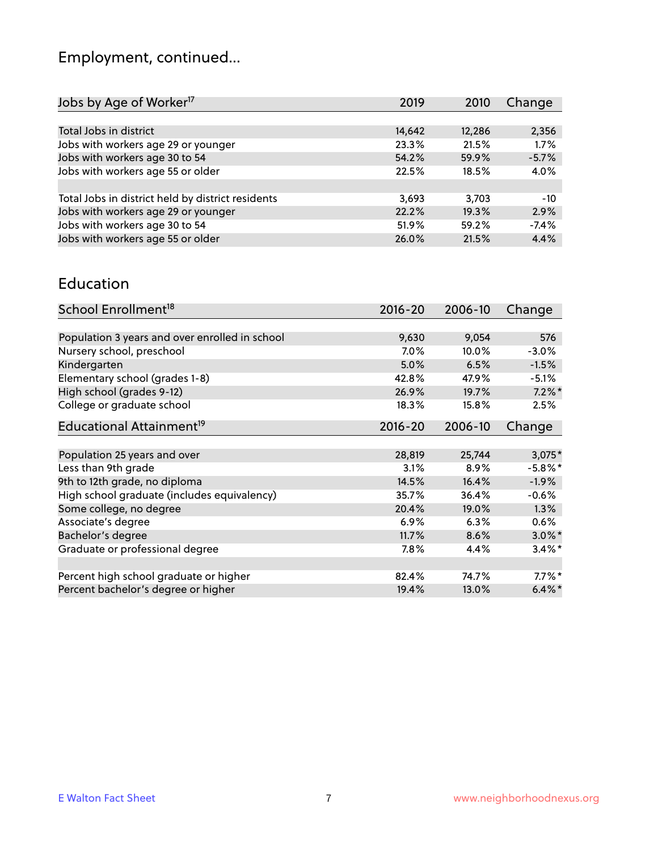# Employment, continued...

| Jobs by Age of Worker <sup>17</sup>               | 2019   | 2010   | Change  |
|---------------------------------------------------|--------|--------|---------|
|                                                   |        |        |         |
| Total Jobs in district                            | 14,642 | 12,286 | 2,356   |
| Jobs with workers age 29 or younger               | 23.3%  | 21.5%  | 1.7%    |
| Jobs with workers age 30 to 54                    | 54.2%  | 59.9%  | $-5.7%$ |
| Jobs with workers age 55 or older                 | 22.5%  | 18.5%  | 4.0%    |
|                                                   |        |        |         |
| Total Jobs in district held by district residents | 3,693  | 3,703  | $-10$   |
| Jobs with workers age 29 or younger               | 22.2%  | 19.3%  | 2.9%    |
| Jobs with workers age 30 to 54                    | 51.9%  | 59.2%  | $-7.4%$ |
| Jobs with workers age 55 or older                 | 26.0%  | 21.5%  | 4.4%    |

#### Education

| School Enrollment <sup>18</sup>                | $2016 - 20$ | 2006-10 | Change     |
|------------------------------------------------|-------------|---------|------------|
|                                                |             |         |            |
| Population 3 years and over enrolled in school | 9,630       | 9,054   | 576        |
| Nursery school, preschool                      | $7.0\%$     | 10.0%   | $-3.0%$    |
| Kindergarten                                   | 5.0%        | 6.5%    | $-1.5%$    |
| Elementary school (grades 1-8)                 | 42.8%       | 47.9%   | $-5.1%$    |
| High school (grades 9-12)                      | 26.9%       | 19.7%   | $7.2\%$ *  |
| College or graduate school                     | 18.3%       | 15.8%   | 2.5%       |
| Educational Attainment <sup>19</sup>           | $2016 - 20$ | 2006-10 | Change     |
|                                                |             |         |            |
| Population 25 years and over                   | 28,819      | 25,744  | $3,075*$   |
| Less than 9th grade                            | 3.1%        | 8.9%    | $-5.8\%$ * |
| 9th to 12th grade, no diploma                  | 14.5%       | 16.4%   | $-1.9%$    |
| High school graduate (includes equivalency)    | 35.7%       | 36.4%   | $-0.6%$    |
| Some college, no degree                        | 20.4%       | 19.0%   | 1.3%       |
| Associate's degree                             | 6.9%        | 6.3%    | 0.6%       |
| Bachelor's degree                              | 11.7%       | 8.6%    | $3.0\%$ *  |
| Graduate or professional degree                | 7.8%        | 4.4%    | $3.4\%$ *  |
|                                                |             |         |            |
| Percent high school graduate or higher         | 82.4%       | 74.7%   | $7.7\%$ *  |
| Percent bachelor's degree or higher            | 19.4%       | 13.0%   | $6.4\%$ *  |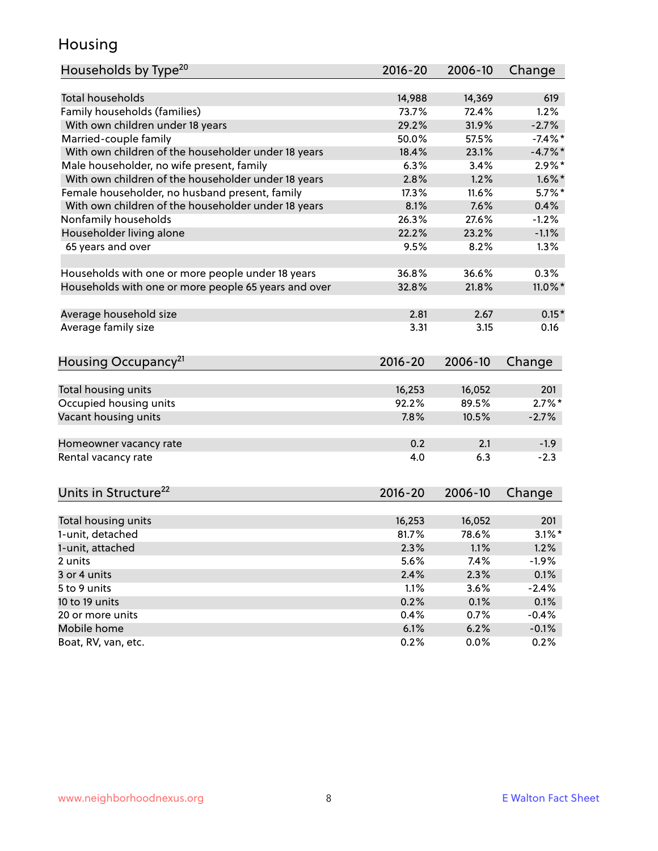### Housing

| Households by Type <sup>20</sup>                     | 2016-20     | 2006-10 | Change     |
|------------------------------------------------------|-------------|---------|------------|
|                                                      |             |         |            |
| <b>Total households</b>                              | 14,988      | 14,369  | 619        |
| Family households (families)                         | 73.7%       | 72.4%   | 1.2%       |
| With own children under 18 years                     | 29.2%       | 31.9%   | $-2.7%$    |
| Married-couple family                                | 50.0%       | 57.5%   | $-7.4\%$ * |
| With own children of the householder under 18 years  | 18.4%       | 23.1%   | $-4.7\%$ * |
| Male householder, no wife present, family            | 6.3%        | 3.4%    | $2.9\%$ *  |
| With own children of the householder under 18 years  | 2.8%        | 1.2%    | $1.6\%$ *  |
| Female householder, no husband present, family       | 17.3%       | 11.6%   | $5.7\%$ *  |
| With own children of the householder under 18 years  | 8.1%        | 7.6%    | 0.4%       |
| Nonfamily households                                 | 26.3%       | 27.6%   | $-1.2%$    |
| Householder living alone                             | 22.2%       | 23.2%   | $-1.1%$    |
| 65 years and over                                    | 9.5%        | 8.2%    | 1.3%       |
| Households with one or more people under 18 years    | 36.8%       | 36.6%   | 0.3%       |
| Households with one or more people 65 years and over | 32.8%       | 21.8%   | $11.0\%$ * |
| Average household size                               | 2.81        | 2.67    | $0.15*$    |
| Average family size                                  | 3.31        | 3.15    | 0.16       |
|                                                      |             |         |            |
| Housing Occupancy <sup>21</sup>                      | $2016 - 20$ | 2006-10 | Change     |
|                                                      |             |         |            |
| Total housing units                                  | 16,253      | 16,052  | 201        |
| Occupied housing units                               | 92.2%       | 89.5%   | $2.7\%$ *  |
| Vacant housing units                                 | 7.8%        | 10.5%   | $-2.7%$    |
| Homeowner vacancy rate                               | 0.2         | 2.1     | $-1.9$     |
| Rental vacancy rate                                  | 4.0         | 6.3     | $-2.3$     |
|                                                      |             |         |            |
| Units in Structure <sup>22</sup>                     | $2016 - 20$ | 2006-10 | Change     |
| Total housing units                                  | 16,253      | 16,052  | 201        |
| 1-unit, detached                                     | 81.7%       | 78.6%   | $3.1\%$ *  |
| 1-unit, attached                                     | 2.3%        | 1.1%    | 1.2%       |
| 2 units                                              | 5.6%        | 7.4%    | $-1.9%$    |
| 3 or 4 units                                         | 2.4%        | 2.3%    | 0.1%       |
| 5 to 9 units                                         | 1.1%        | 3.6%    | $-2.4%$    |
| 10 to 19 units                                       | 0.2%        | 0.1%    | 0.1%       |
| 20 or more units                                     | 0.4%        | 0.7%    | $-0.4%$    |
| Mobile home                                          | 6.1%        | 6.2%    | $-0.1%$    |
| Boat, RV, van, etc.                                  | 0.2%        | 0.0%    | 0.2%       |
|                                                      |             |         |            |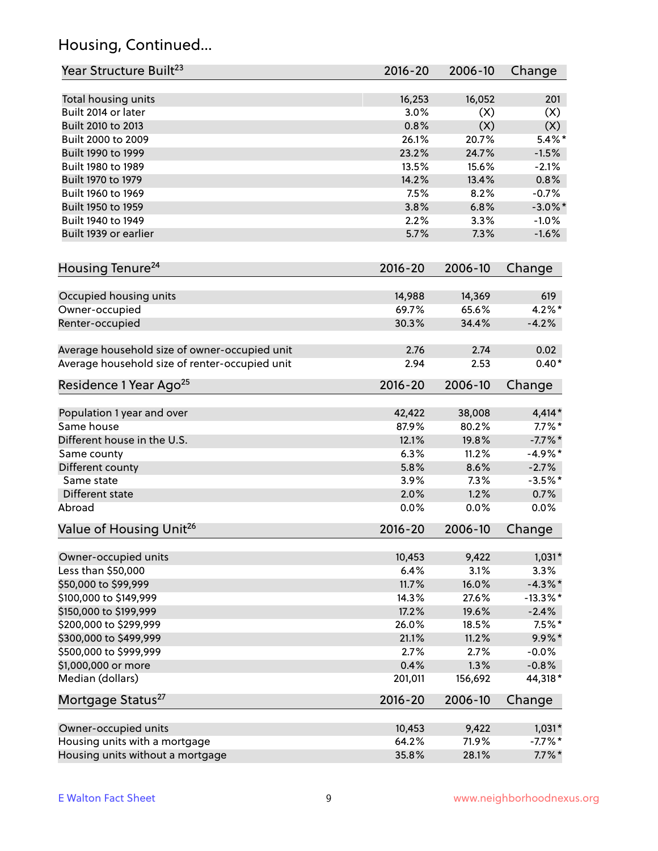# Housing, Continued...

| Year Structure Built <sup>23</sup>             | 2016-20     | 2006-10 | Change      |
|------------------------------------------------|-------------|---------|-------------|
| Total housing units                            | 16,253      | 16,052  | 201         |
| Built 2014 or later                            | 3.0%        | (X)     | (X)         |
| Built 2010 to 2013                             | 0.8%        | (X)     | (X)         |
| Built 2000 to 2009                             | 26.1%       | 20.7%   | $5.4\%$ *   |
| Built 1990 to 1999                             | 23.2%       | 24.7%   | $-1.5%$     |
| Built 1980 to 1989                             | 13.5%       | 15.6%   | $-2.1%$     |
| Built 1970 to 1979                             | 14.2%       | 13.4%   | 0.8%        |
| Built 1960 to 1969                             | 7.5%        | 8.2%    | $-0.7%$     |
| Built 1950 to 1959                             | 3.8%        | 6.8%    | $-3.0\%$ *  |
| Built 1940 to 1949                             | 2.2%        | 3.3%    | $-1.0%$     |
| Built 1939 or earlier                          | 5.7%        | 7.3%    | $-1.6%$     |
|                                                |             |         |             |
| Housing Tenure <sup>24</sup>                   | $2016 - 20$ | 2006-10 | Change      |
| Occupied housing units                         | 14,988      | 14,369  | 619         |
| Owner-occupied                                 | 69.7%       | 65.6%   | $4.2\%$ *   |
| Renter-occupied                                | 30.3%       | 34.4%   | $-4.2%$     |
|                                                |             |         |             |
| Average household size of owner-occupied unit  | 2.76        | 2.74    | 0.02        |
| Average household size of renter-occupied unit | 2.94        | 2.53    | $0.40*$     |
| Residence 1 Year Ago <sup>25</sup>             | $2016 - 20$ | 2006-10 | Change      |
|                                                |             |         |             |
| Population 1 year and over                     | 42,422      | 38,008  | $4,414*$    |
| Same house                                     | 87.9%       | 80.2%   | $7.7\%$ *   |
| Different house in the U.S.                    | 12.1%       | 19.8%   | $-7.7\%$ *  |
| Same county                                    | 6.3%        | 11.2%   | $-4.9%$ *   |
| Different county                               | 5.8%        | 8.6%    | $-2.7%$     |
| Same state                                     | 3.9%        | 7.3%    | $-3.5%$ *   |
| Different state                                | 2.0%        | 1.2%    | 0.7%        |
| Abroad                                         | 0.0%        | 0.0%    | 0.0%        |
| Value of Housing Unit <sup>26</sup>            | 2016-20     | 2006-10 | Change      |
|                                                |             |         |             |
| Owner-occupied units                           | 10,453      | 9,422   | $1,031*$    |
| Less than \$50,000                             | 6.4%        | 3.1%    | 3.3%        |
| \$50,000 to \$99,999                           | 11.7%       | 16.0%   | $-4.3\%$ *  |
| \$100,000 to \$149,999                         | 14.3%       | 27.6%   | $-13.3\%$ * |
| \$150,000 to \$199,999                         | 17.2%       | 19.6%   | $-2.4%$     |
| \$200,000 to \$299,999                         | 26.0%       | 18.5%   | $7.5\%$ *   |
| \$300,000 to \$499,999                         | 21.1%       | 11.2%   | $9.9\% *$   |
| \$500,000 to \$999,999                         | 2.7%        | 2.7%    | $-0.0\%$    |
| \$1,000,000 or more                            | 0.4%        | 1.3%    | $-0.8%$     |
| Median (dollars)                               | 201,011     | 156,692 | 44,318*     |
| Mortgage Status <sup>27</sup>                  | $2016 - 20$ | 2006-10 | Change      |
| Owner-occupied units                           | 10,453      | 9,422   | $1,031*$    |
| Housing units with a mortgage                  | 64.2%       | 71.9%   | $-7.7\%$ *  |
| Housing units without a mortgage               | 35.8%       | 28.1%   | $7.7\%$ *   |
|                                                |             |         |             |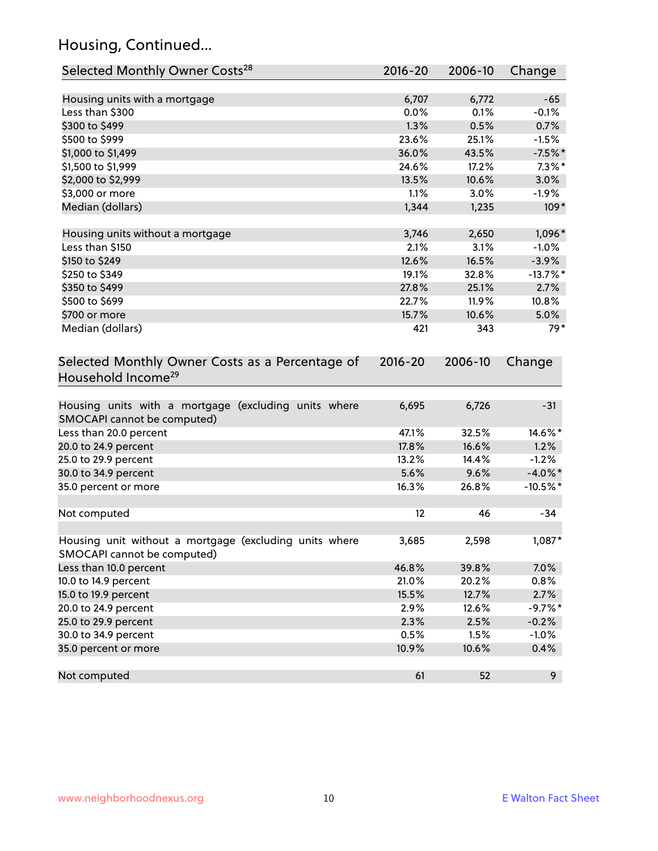# Housing, Continued...

| Selected Monthly Owner Costs <sup>28</sup>                                            | 2016-20 | 2006-10 | Change     |
|---------------------------------------------------------------------------------------|---------|---------|------------|
| Housing units with a mortgage                                                         | 6,707   | 6,772   | $-65$      |
| Less than \$300                                                                       | 0.0%    | 0.1%    | $-0.1%$    |
| \$300 to \$499                                                                        | 1.3%    | 0.5%    | 0.7%       |
| \$500 to \$999                                                                        | 23.6%   | 25.1%   | $-1.5%$    |
| \$1,000 to \$1,499                                                                    | 36.0%   | 43.5%   | $-7.5%$ *  |
| \$1,500 to \$1,999                                                                    | 24.6%   | 17.2%   | $7.3\%$ *  |
| \$2,000 to \$2,999                                                                    | 13.5%   | 10.6%   | 3.0%       |
| \$3,000 or more                                                                       | 1.1%    | 3.0%    | $-1.9%$    |
| Median (dollars)                                                                      | 1,344   | 1,235   | $109*$     |
|                                                                                       |         |         |            |
| Housing units without a mortgage                                                      | 3,746   | 2,650   | 1,096*     |
| Less than \$150                                                                       | 2.1%    | 3.1%    | $-1.0%$    |
| \$150 to \$249                                                                        | 12.6%   | 16.5%   | $-3.9%$    |
| \$250 to \$349                                                                        | 19.1%   | 32.8%   | $-13.7%$ * |
| \$350 to \$499                                                                        | 27.8%   | 25.1%   | 2.7%       |
| \$500 to \$699                                                                        | 22.7%   | 11.9%   | 10.8%      |
| \$700 or more                                                                         | 15.7%   | 10.6%   | 5.0%       |
| Median (dollars)                                                                      | 421     | 343     | $79*$      |
| Selected Monthly Owner Costs as a Percentage of<br>Household Income <sup>29</sup>     |         |         | Change     |
| Housing units with a mortgage (excluding units where<br>SMOCAPI cannot be computed)   | 6,695   | 6,726   | $-31$      |
| Less than 20.0 percent                                                                | 47.1%   | 32.5%   | 14.6%*     |
| 20.0 to 24.9 percent                                                                  | 17.8%   | 16.6%   | 1.2%       |
| 25.0 to 29.9 percent                                                                  | 13.2%   | 14.4%   | $-1.2%$    |
| 30.0 to 34.9 percent                                                                  | 5.6%    | 9.6%    | $-4.0\%$ * |
| 35.0 percent or more                                                                  | 16.3%   | 26.8%   | $-10.5%$ * |
| Not computed                                                                          | 12      | 46      | $-34$      |
| Housing unit without a mortgage (excluding units where<br>SMOCAPI cannot be computed) | 3,685   | 2,598   | 1,087*     |
| Less than 10.0 percent                                                                | 46.8%   | 39.8%   | 7.0%       |
| 10.0 to 14.9 percent                                                                  | 21.0%   | 20.2%   | 0.8%       |
| 15.0 to 19.9 percent                                                                  | 15.5%   | 12.7%   | 2.7%       |
| 20.0 to 24.9 percent                                                                  | 2.9%    | 12.6%   | $-9.7%$ *  |
| 25.0 to 29.9 percent                                                                  | 2.3%    | 2.5%    | $-0.2%$    |
| 30.0 to 34.9 percent                                                                  | 0.5%    | 1.5%    | $-1.0%$    |
| 35.0 percent or more                                                                  | 10.9%   | 10.6%   | 0.4%       |
| Not computed                                                                          | 61      | 52      | 9          |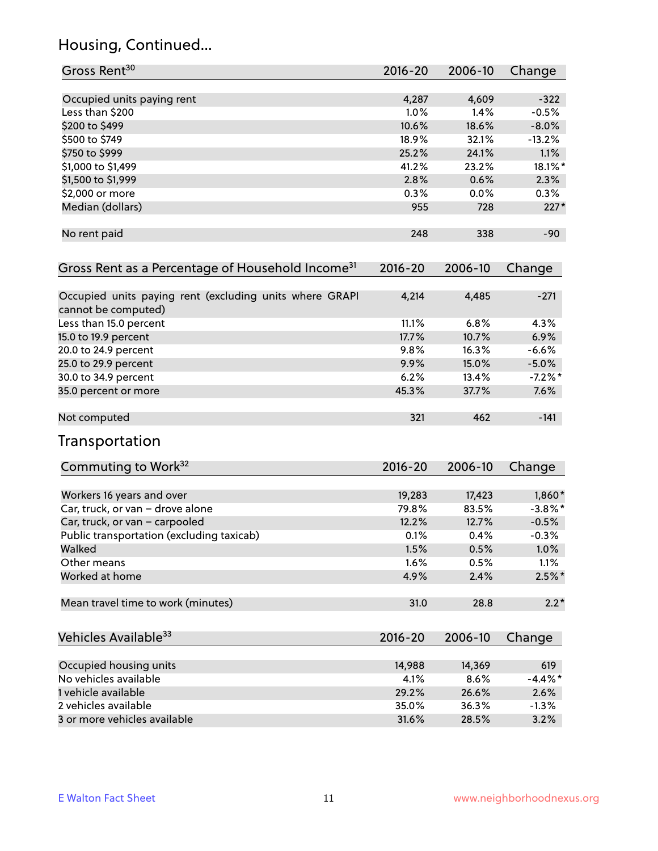# Housing, Continued...

| Gross Rent <sup>30</sup>                                                       | 2016-20     | 2006-10 | Change     |
|--------------------------------------------------------------------------------|-------------|---------|------------|
| Occupied units paying rent                                                     | 4,287       | 4,609   | $-322$     |
| Less than \$200                                                                | 1.0%        | 1.4%    | $-0.5%$    |
| \$200 to \$499                                                                 | 10.6%       | 18.6%   | $-8.0%$    |
| \$500 to \$749                                                                 | 18.9%       | 32.1%   | $-13.2%$   |
| \$750 to \$999                                                                 | 25.2%       | 24.1%   | 1.1%       |
| \$1,000 to \$1,499                                                             | 41.2%       | 23.2%   | 18.1%*     |
| \$1,500 to \$1,999                                                             | 2.8%        | 0.6%    | 2.3%       |
| \$2,000 or more                                                                | 0.3%        | 0.0%    | $0.3\%$    |
| Median (dollars)                                                               | 955         | 728     | $227*$     |
| No rent paid                                                                   | 248         | 338     | $-90$      |
| Gross Rent as a Percentage of Household Income <sup>31</sup>                   | 2016-20     | 2006-10 | Change     |
|                                                                                |             |         |            |
| Occupied units paying rent (excluding units where GRAPI<br>cannot be computed) | 4,214       | 4,485   | $-271$     |
| Less than 15.0 percent                                                         | 11.1%       | 6.8%    | 4.3%       |
| 15.0 to 19.9 percent                                                           | 17.7%       | 10.7%   | 6.9%       |
| 20.0 to 24.9 percent                                                           | 9.8%        | 16.3%   | $-6.6%$    |
| 25.0 to 29.9 percent                                                           | 9.9%        | 15.0%   | $-5.0\%$   |
| 30.0 to 34.9 percent                                                           | 6.2%        | 13.4%   | $-7.2%$ *  |
| 35.0 percent or more                                                           | 45.3%       | 37.7%   | 7.6%       |
| Not computed                                                                   | 321         | 462     | $-141$     |
| Transportation                                                                 |             |         |            |
| Commuting to Work <sup>32</sup>                                                | 2016-20     | 2006-10 | Change     |
| Workers 16 years and over                                                      | 19,283      | 17,423  | 1,860*     |
| Car, truck, or van - drove alone                                               | 79.8%       | 83.5%   | $-3.8\%$ * |
| Car, truck, or van - carpooled                                                 | 12.2%       | 12.7%   | $-0.5%$    |
| Public transportation (excluding taxicab)                                      | 0.1%        | 0.4%    | $-0.3%$    |
| Walked                                                                         | 1.5%        | 0.5%    | 1.0%       |
| Other means                                                                    | 1.6%        | 0.5%    | 1.1%       |
| Worked at home                                                                 | 4.9%        | 2.4%    | $2.5%$ *   |
| Mean travel time to work (minutes)                                             | 31.0        | 28.8    | $2.2*$     |
| Vehicles Available <sup>33</sup>                                               | $2016 - 20$ | 2006-10 | Change     |
| Occupied housing units                                                         | 14,988      | 14,369  | 619        |
| No vehicles available                                                          | 4.1%        | 8.6%    | $-4.4\%$ * |
| 1 vehicle available                                                            | 29.2%       | 26.6%   | 2.6%       |
| 2 vehicles available                                                           | 35.0%       | 36.3%   | $-1.3%$    |
| 3 or more vehicles available                                                   | 31.6%       | 28.5%   | 3.2%       |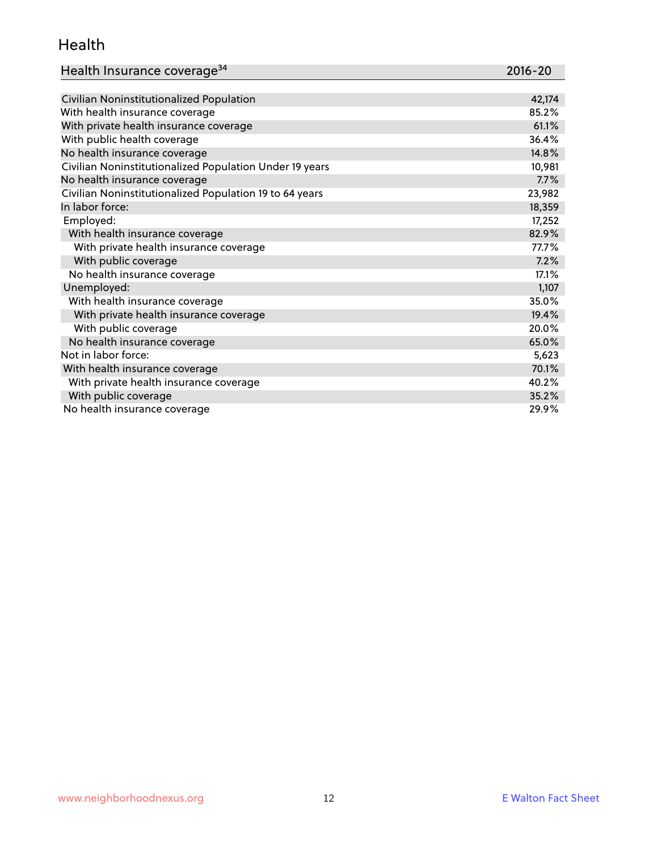#### Health

| Health Insurance coverage <sup>34</sup> | 2016-20 |
|-----------------------------------------|---------|
|-----------------------------------------|---------|

| Civilian Noninstitutionalized Population                | 42,174 |
|---------------------------------------------------------|--------|
| With health insurance coverage                          | 85.2%  |
| With private health insurance coverage                  | 61.1%  |
| With public health coverage                             | 36.4%  |
| No health insurance coverage                            | 14.8%  |
| Civilian Noninstitutionalized Population Under 19 years | 10,981 |
| No health insurance coverage                            | 7.7%   |
| Civilian Noninstitutionalized Population 19 to 64 years | 23,982 |
| In labor force:                                         | 18,359 |
| Employed:                                               | 17,252 |
| With health insurance coverage                          | 82.9%  |
| With private health insurance coverage                  | 77.7%  |
| With public coverage                                    | 7.2%   |
| No health insurance coverage                            | 17.1%  |
| Unemployed:                                             | 1,107  |
| With health insurance coverage                          | 35.0%  |
| With private health insurance coverage                  | 19.4%  |
| With public coverage                                    | 20.0%  |
| No health insurance coverage                            | 65.0%  |
| Not in labor force:                                     | 5,623  |
| With health insurance coverage                          | 70.1%  |
| With private health insurance coverage                  | 40.2%  |
| With public coverage                                    | 35.2%  |
| No health insurance coverage                            | 29.9%  |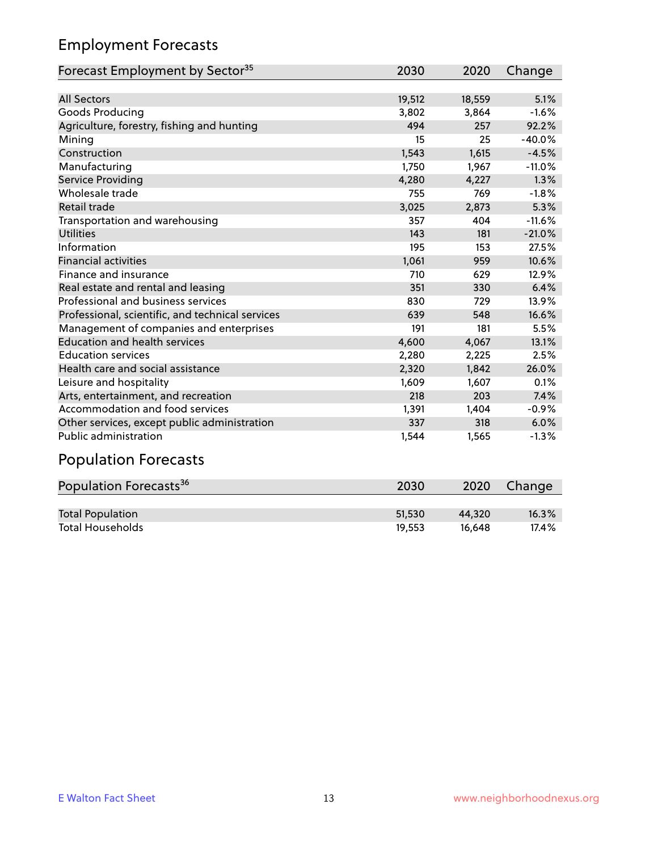# Employment Forecasts

| Forecast Employment by Sector <sup>35</sup>      | 2030   | 2020   | Change   |
|--------------------------------------------------|--------|--------|----------|
|                                                  |        |        |          |
| <b>All Sectors</b>                               | 19,512 | 18,559 | 5.1%     |
| Goods Producing                                  | 3,802  | 3,864  | $-1.6%$  |
| Agriculture, forestry, fishing and hunting       | 494    | 257    | 92.2%    |
| Mining                                           | 15     | 25     | $-40.0%$ |
| Construction                                     | 1,543  | 1,615  | $-4.5%$  |
| Manufacturing                                    | 1,750  | 1,967  | $-11.0%$ |
| Service Providing                                | 4,280  | 4,227  | 1.3%     |
| Wholesale trade                                  | 755    | 769    | $-1.8%$  |
| <b>Retail trade</b>                              | 3,025  | 2,873  | 5.3%     |
| Transportation and warehousing                   | 357    | 404    | $-11.6%$ |
| <b>Utilities</b>                                 | 143    | 181    | $-21.0%$ |
| Information                                      | 195    | 153    | 27.5%    |
| <b>Financial activities</b>                      | 1,061  | 959    | 10.6%    |
| Finance and insurance                            | 710    | 629    | 12.9%    |
| Real estate and rental and leasing               | 351    | 330    | 6.4%     |
| Professional and business services               | 830    | 729    | 13.9%    |
| Professional, scientific, and technical services | 639    | 548    | 16.6%    |
| Management of companies and enterprises          | 191    | 181    | 5.5%     |
| <b>Education and health services</b>             | 4,600  | 4,067  | 13.1%    |
| <b>Education services</b>                        | 2,280  | 2,225  | 2.5%     |
| Health care and social assistance                | 2,320  | 1,842  | 26.0%    |
| Leisure and hospitality                          | 1,609  | 1,607  | 0.1%     |
| Arts, entertainment, and recreation              | 218    | 203    | 7.4%     |
| Accommodation and food services                  | 1,391  | 1,404  | $-0.9%$  |
| Other services, except public administration     | 337    | 318    | 6.0%     |
| Public administration                            | 1,544  | 1,565  | $-1.3%$  |

# Population Forecasts

| Population Forecasts <sup>36</sup> | 2030   | 2020   | Change   |
|------------------------------------|--------|--------|----------|
|                                    |        |        |          |
| <b>Total Population</b>            | 51.530 | 44.320 | $16.3\%$ |
| <b>Total Households</b>            | 19.553 | 16.648 | 17.4%    |